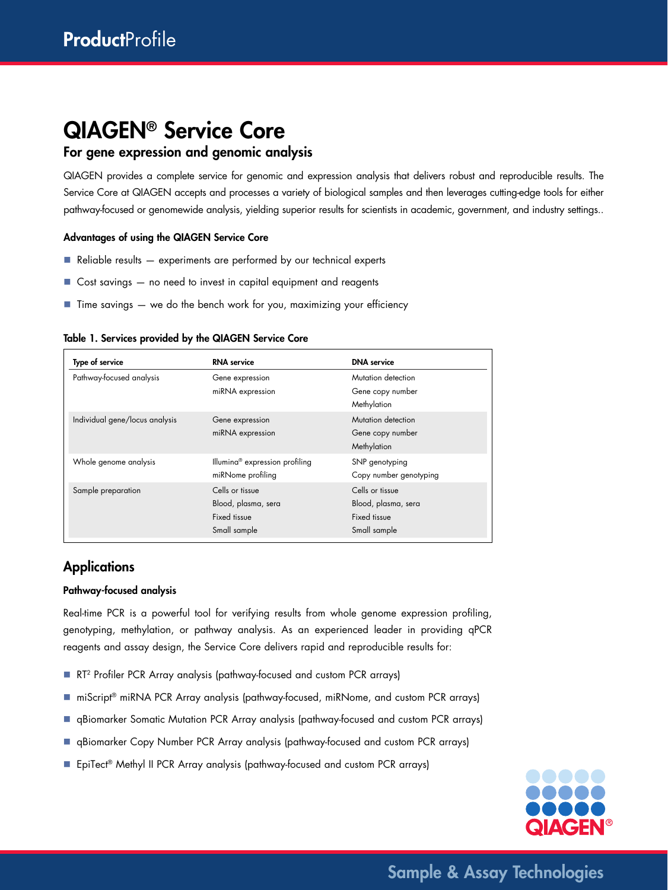# QIAGEN® Service Core

## For gene expression and genomic analysis

QIAGEN provides a complete service for genomic and expression analysis that delivers robust and reproducible results. The Service Core at QIAGEN accepts and processes a variety of biological samples and then leverages cutting-edge tools for either pathway-focused or genomewide analysis, yielding superior results for scientists in academic, government, and industry settings..

## Advantages of using the QIAGEN Service Core

- $\blacksquare$  Reliable results  $-$  experiments are performed by our technical experts
- Cost savings no need to invest in capital equipment and reagents
- $\blacksquare$  Time savings  $-$  we do the bench work for you, maximizing your efficiency

#### Table 1. Services provided by the QIAGEN Service Core

| Type of service                | <b>RNA</b> service                                                     | <b>DNA</b> service                                                     |
|--------------------------------|------------------------------------------------------------------------|------------------------------------------------------------------------|
| Pathway-focused analysis       | Gene expression<br>miRNA expression                                    | Mutation detection<br>Gene copy number<br>Methylation                  |
| Individual gene/locus analysis | Gene expression<br>miRNA expression                                    | Mutation detection<br>Gene copy number<br>Methylation                  |
| Whole genome analysis          | Illumina <sup>®</sup> expression profiling<br>miRNome profiling        | SNP genotyping<br>Copy number genotyping                               |
| Sample preparation             | Cells or tissue<br>Blood, plasma, sera<br>Fixed tissue<br>Small sample | Cells or tissue<br>Blood, plasma, sera<br>Fixed tissue<br>Small sample |

## **Applications**

#### Pathway-focused analysis

Real-time PCR is a powerful tool for verifying results from whole genome expression profiling, genotyping, methylation, or pathway analysis. As an experienced leader in providing qPCR reagents and assay design, the Service Core delivers rapid and reproducible results for:

- RT<sup>2</sup> Profiler PCR Array analysis (pathway-focused and custom PCR arrays)
- miScript® miRNA PCR Array analysis (pathway-focused, miRNome, and custom PCR arrays)
- **n** qBiomarker Somatic Mutation PCR Array analysis (pathway-focused and custom PCR arrays)
- **qBiomarker Copy Number PCR Array analysis (pathway-focused and custom PCR arrays)**
- EpiTect® Methyl II PCR Array analysis (pathway-focused and custom PCR arrays)



Sample & Assay Technologies